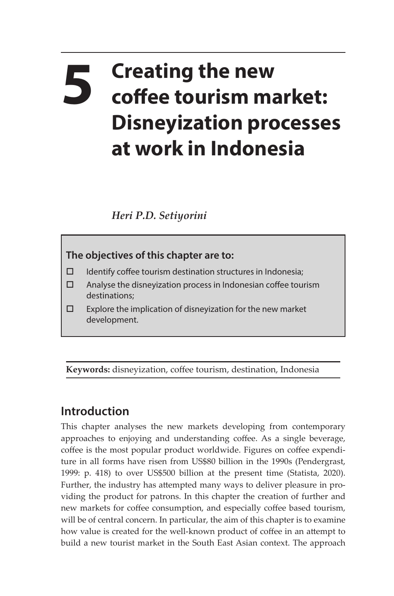## **5 Creating the new coffee tourism market: Disneyization processes at work in Indonesia**

*Heri P.D. Setiyorini*



- $\Box$  Identify coffee tourism destination structures in Indonesia;
- $\square$  Analyse the disneyization process in Indonesian coffee tourism destinations;
- $\square$  Explore the implication of disneyization for the new market development.

**Keywords:** disneyization, coffee tourism, destination, Indonesia

## **Introduction**

This chapter analyses the new markets developing from contemporary approaches to enjoying and understanding coffee. As a single beverage, coffee is the most popular product worldwide. Figures on coffee expenditure in all forms have risen from US\$80 billion in the 1990s (Pendergrast, 1999: p. 418) to over US\$500 billion at the present time (Statista, 2020). Further, the industry has attempted many ways to deliver pleasure in providing the product for patrons. In this chapter the creation of further and new markets for coffee consumption, and especially coffee based tourism, will be of central concern. In particular, the aim of this chapter is to examine how value is created for the well-known product of coffee in an attempt to build a new tourist market in the South East Asian context. The approach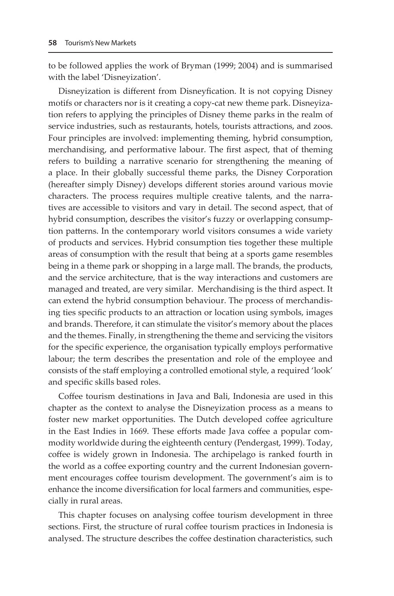to be followed applies the work of Bryman (1999; 2004) and is summarised with the label 'Disneyization'.

Disneyization is different from Disneyfication. It is not copying Disney motifs or characters nor is it creating a copy-cat new theme park. Disneyization refers to applying the principles of Disney theme parks in the realm of service industries, such as restaurants, hotels, tourists attractions, and zoos. Four principles are involved: implementing theming, hybrid consumption, merchandising, and performative labour. The first aspect, that of theming refers to building a narrative scenario for strengthening the meaning of a place. In their globally successful theme parks, the Disney Corporation (hereafter simply Disney) develops different stories around various movie characters. The process requires multiple creative talents, and the narratives are accessible to visitors and vary in detail. The second aspect, that of hybrid consumption, describes the visitor's fuzzy or overlapping consumption patterns. In the contemporary world visitors consumes a wide variety of products and services. Hybrid consumption ties together these multiple areas of consumption with the result that being at a sports game resembles being in a theme park or shopping in a large mall. The brands, the products, and the service architecture, that is the way interactions and customers are managed and treated, are very similar. Merchandising is the third aspect. It can extend the hybrid consumption behaviour. The process of merchandising ties specific products to an attraction or location using symbols, images and brands. Therefore, it can stimulate the visitor's memory about the places and the themes. Finally, in strengthening the theme and servicing the visitors for the specific experience, the organisation typically employs performative labour; the term describes the presentation and role of the employee and consists of the staff employing a controlled emotional style, a required 'look' and specific skills based roles.

Coffee tourism destinations in Java and Bali, Indonesia are used in this chapter as the context to analyse the Disneyization process as a means to foster new market opportunities. The Dutch developed coffee agriculture in the East Indies in 1669. These efforts made Java coffee a popular commodity worldwide during the eighteenth century (Pendergast, 1999). Today, coffee is widely grown in Indonesia. The archipelago is ranked fourth in the world as a coffee exporting country and the current Indonesian government encourages coffee tourism development. The government's aim is to enhance the income diversification for local farmers and communities, especially in rural areas.

This chapter focuses on analysing coffee tourism development in three sections. First, the structure of rural coffee tourism practices in Indonesia is analysed. The structure describes the coffee destination characteristics, such